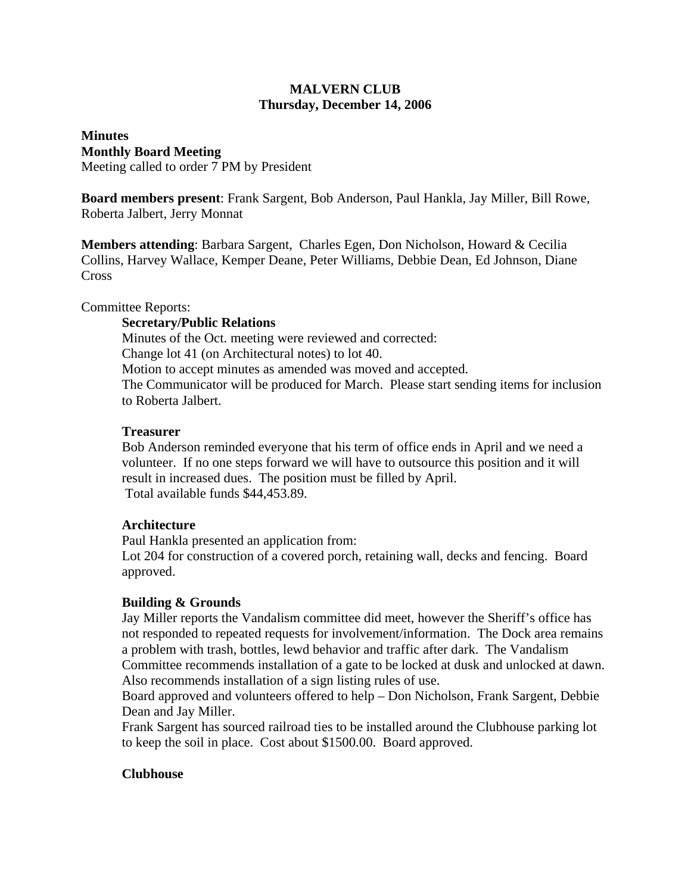# **MALVERN CLUB Thursday, December 14, 2006**

# **Minutes Monthly Board Meeting**

Meeting called to order 7 PM by President

**Board members present**: Frank Sargent, Bob Anderson, Paul Hankla, Jay Miller, Bill Rowe, Roberta Jalbert, Jerry Monnat

**Members attending**: Barbara Sargent, Charles Egen, Don Nicholson, Howard & Cecilia Collins, Harvey Wallace, Kemper Deane, Peter Williams, Debbie Dean, Ed Johnson, Diane **Cross** 

Committee Reports:

## **Secretary/Public Relations**

Minutes of the Oct. meeting were reviewed and corrected: Change lot 41 (on Architectural notes) to lot 40. Motion to accept minutes as amended was moved and accepted. The Communicator will be produced for March. Please start sending items for inclusion to Roberta Jalbert.

#### **Treasurer**

Bob Anderson reminded everyone that his term of office ends in April and we need a volunteer. If no one steps forward we will have to outsource this position and it will result in increased dues. The position must be filled by April. Total available funds \$44,453.89.

## **Architecture**

Paul Hankla presented an application from:

Lot 204 for construction of a covered porch, retaining wall, decks and fencing. Board approved.

## **Building & Grounds**

Jay Miller reports the Vandalism committee did meet, however the Sheriff's office has not responded to repeated requests for involvement/information. The Dock area remains a problem with trash, bottles, lewd behavior and traffic after dark. The Vandalism Committee recommends installation of a gate to be locked at dusk and unlocked at dawn. Also recommends installation of a sign listing rules of use.

Board approved and volunteers offered to help – Don Nicholson, Frank Sargent, Debbie Dean and Jay Miller.

Frank Sargent has sourced railroad ties to be installed around the Clubhouse parking lot to keep the soil in place. Cost about \$1500.00. Board approved.

## **Clubhouse**